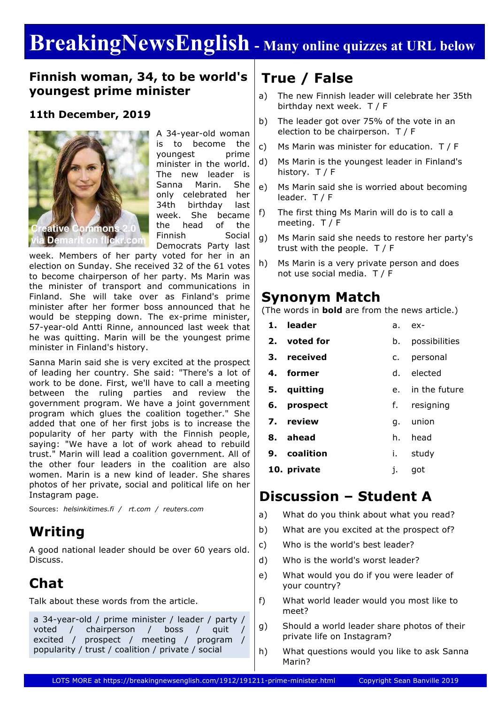# **BreakingNewsEnglish - Many online quizzes at URL below**

### **Finnish woman, 34, to be world's youngest prime minister**

#### **11th December, 2019**



A 34-year-old woman is to become the voungest prime minister in the world. The new leader is Sanna Marin. She only celebrated her 34th birthday last week. She became the head of the Finnish Social Democrats Party last

week. Members of her party voted for her in an election on Sunday. She received 32 of the 61 votes to become chairperson of her party. Ms Marin was the minister of transport and communications in Finland. She will take over as Finland's prime minister after her former boss announced that he would be stepping down. The ex-prime minister, 57-year-old Antti Rinne, announced last week that he was quitting. Marin will be the youngest prime minister in Finland's history.

Sanna Marin said she is very excited at the prospect of leading her country. She said: "There's a lot of work to be done. First, we'll have to call a meeting between the ruling parties and review the government program. We have a joint government program which glues the coalition together." She added that one of her first jobs is to increase the popularity of her party with the Finnish people, saying: "We have a lot of work ahead to rebuild trust." Marin will lead a coalition government. All of the other four leaders in the coalition are also women. Marin is a new kind of leader. She shares photos of her private, social and political life on her Instagram page.

Sources: *helsinkitimes.fi / rt.com / reuters.com*

## **Writing**

A good national leader should be over 60 years old. Discuss.

# **Chat**

Talk about these words from the article.

a 34-year-old / prime minister / leader / party / voted / chairperson / boss / quit excited / prospect / meeting / program / popularity / trust / coalition / private / social

## **True / False**

- a) The new Finnish leader will celebrate her 35th birthday next week. T / F
- b) The leader got over 75% of the vote in an election to be chairperson. T / F
- c) Ms Marin was minister for education. T / F
- d) Ms Marin is the youngest leader in Finland's history. T / F
- e) Ms Marin said she is worried about becoming leader. T / F
- f) The first thing Ms Marin will do is to call a meeting. T / F
- g) Ms Marin said she needs to restore her party's trust with the people. T / F
- h) Ms Marin is a very private person and does not use social media. T / F

### **Synonym Match**

(The words in **bold** are from the news article.)

- **1. leader** a. ex-
- **2. voted for** b. possibilities
- **3. received** c. personal
- **4. former** d. elected
- **5. quitting** e. in the future
- **6. prospect** f. resigning
- **7. review** g. union
- **8. ahead** h. head
- **9. coalition** i. study
- **10. private** j. got

### **Discussion – Student A**

- a) What do you think about what you read?
- b) What are you excited at the prospect of?
- c) Who is the world's best leader?
- d) Who is the world's worst leader?
- e) What would you do if you were leader of your country?
- f) What world leader would you most like to meet?
- g) Should a world leader share photos of their private life on Instagram?
- h) What questions would you like to ask Sanna Marin?